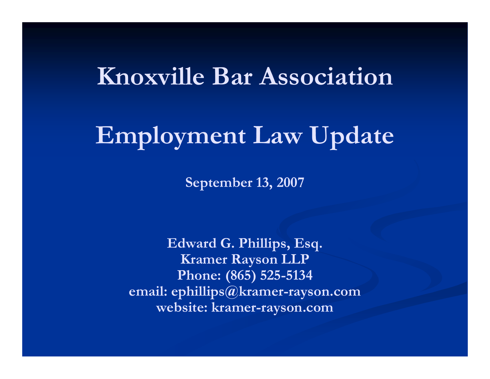#### **Knoxville Bar Association**

# **Employment Law Update**

**September 13, 2007**

**Edward G. Phillips, Esq. Kramer Rayson LLP Phone: (865) 525-5134 email: ephillips@kramer-rayson.com website: kramer-rayson.com**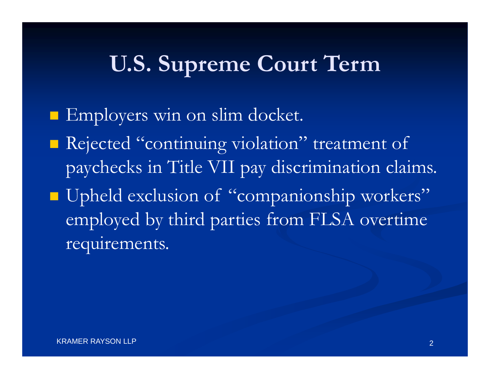#### **U.S. Supreme Court Term**

**Employers win on slim docket. Rejected "continuing violation" treatment of** paychecks in Title VII pay discrimination claims. ■ Upheld exclusion of "companionship workers" employed by third parties from FLSA overtime requirements.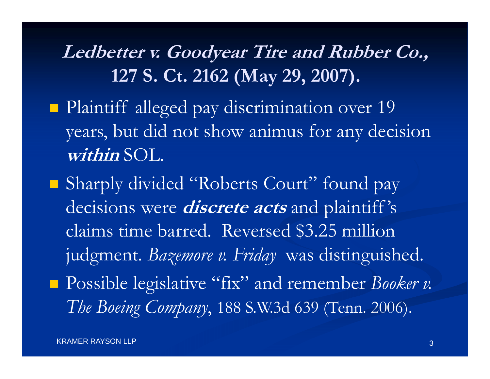**Ledbetter v. Goodyear Tire and Rubber Co., 127 S. Ct. 2162 (May 29, 2007).**

- **Plaintiff alleged pay discrimination over 19** years, but did not show animus for any decision **within** SOL.
- Sharply divided "Roberts Court" found pay decisions were **discrete acts** and plaintiff 's claims time barred. Reversed \$3.25 million judgment. *Bazemore v. Friday* was distinguished. Possible legislative "fix" and remember *Booker v.* 
	- *The Boeing Company*, 188 S.W.3d 639 (Tenn. 2006).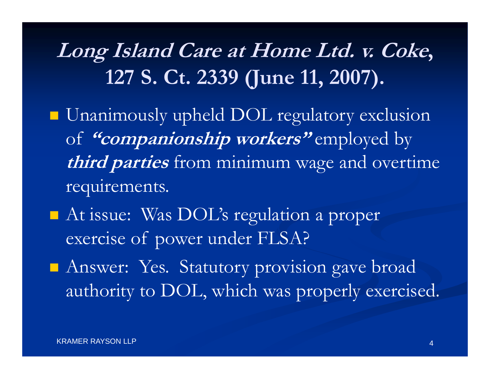# **Long Island Care at Home Ltd. v. Coke, 127 S. Ct. 2339 (June 11, 2007).**

- **Unanimously upheld DOL regulatory exclusion** of **"companionship workers"** employed by **third parties** from minimum wage and overtime requirements.
- At issue: Was DOL's regulation a proper exercise of power under FLSA?
- **Answer: Yes. Statutory provision gave broad** authority to DOL, which was properly exercised.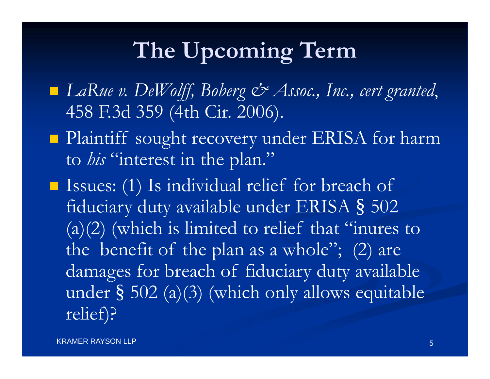# **The Upcoming Term**

- *LaRue v. DeWolff, Boberg & Assoc., Inc., cert granted*, 458 F.3d 359 (4th Cir. 2006).
- **Plaintiff sought recovery under ERISA for harm** to *his* "interest in the plan."
- Issues: (1) Is individual relief for breach of fiduciary duty available under ERISA § 502 (a)(2) (which is limited to relief that "inures to the benefit of the plan as a whole"; (2) are damages for breach of fiduciary duty available under § 502 (a)(3) (which only allows equitable relief)?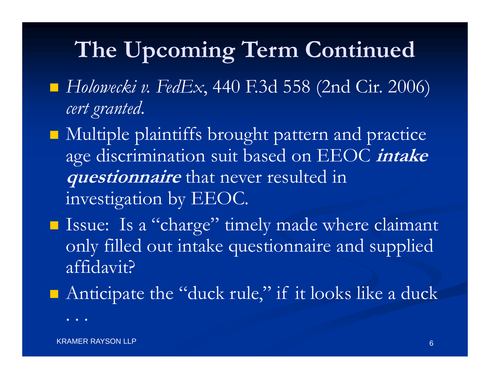# **The Upcoming Term Continued**

- *Holowecki v. FedEx*, 440 F.3d 558 (2nd Cir. 2006) *cert granted*.
- Multiple plaintiffs brought pattern and practice age discrimination suit based on EEOC **intake questionnaire** that never resulted in investigation by EEOC.
- Issue: Is a "charge" timely made where claimant only filled out intake questionnaire and supplied affidavit?
- Anticipate the "duck rule," if it looks like a duck

. . .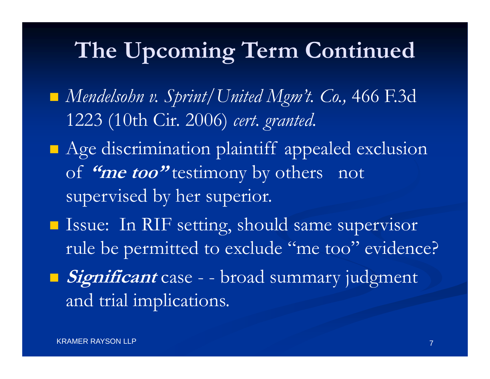# **The Upcoming Term Continued**

- *Mendelsohn v. Sprint/United Mgm't. Co.,* 466 F.3d 1223 (10th Cir. 2006) *cert. granted.*
- **Age discrimination plaintiff appealed exclusion** of **"me too"** testimony by others not supervised by her superior.
- **I** Issue: In RIF setting, should same supervisor rule be permitted to exclude "me too" evidence?
- **Significant** case - broad summary judgment and trial implications.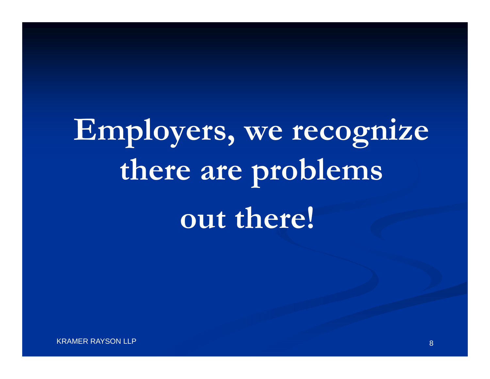# **Employers, we recognize there are problems out there!**

KRAMER RAYSON LLP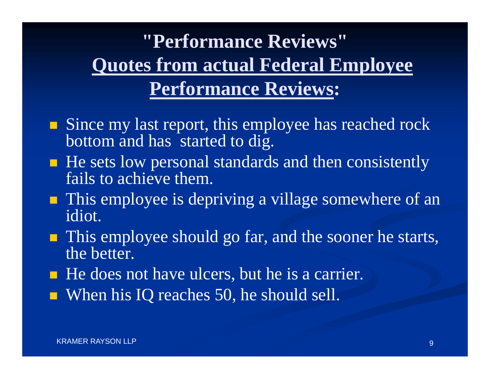### **"Performance Reviews"Quotes from actual Federal Employee Performance Reviews:**

- Since my last report, this employee has reached rock bottom and has started to dig.
- He sets low personal standards and then consistently fails to achieve them.
- **This employee is depriving a village somewhere of an** idiot.
- **This employee should go far, and the sooner he starts,** the better.
- He does not have ulcers, but he is a carrier.
- When his IQ reaches 50, he should sell.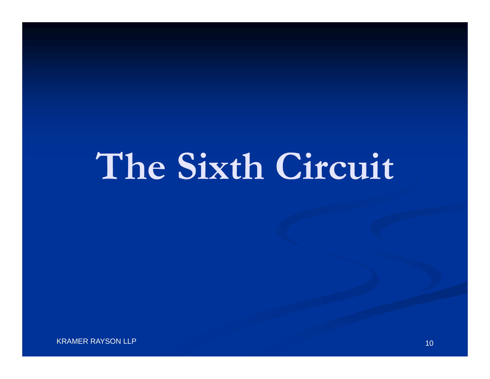# **The Sixth Circuit**

KRAMER RAYSON LLP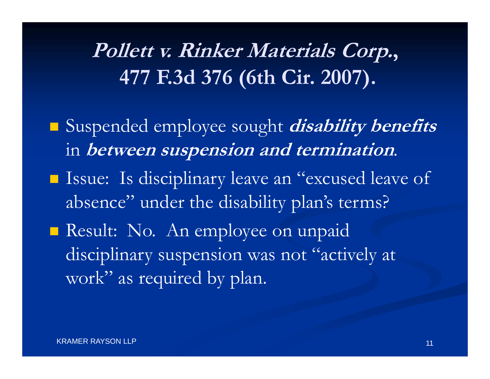# **Pollett v. Rinker Materials Corp., 477 F.3d 376 (6th Cir. 2007).**

- Suspended employee sought **disability benefits**  in **between suspension and termination**.
- **Issue:** Is disciplinary leave an "excused leave of absence" under the disability plan's terms?
- Result: No. An employee on unpaid disciplinary suspension was not "actively at work" as required by plan.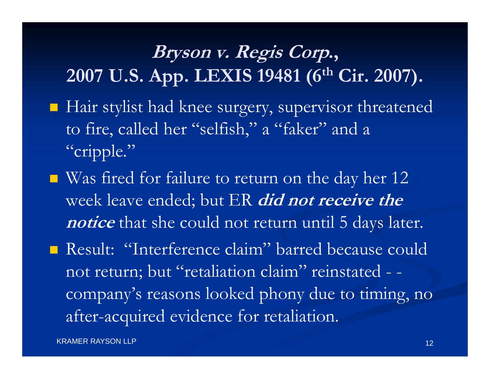#### **Bryson v. Regis Corp., 2007 U.S. App. LEXIS 19481 (6th Cir. 2007).**

- Hair stylist had knee surgery, supervisor threatened to fire, called her "selfish," a "faker" and a "cripple."
- $\blacksquare$  Was fired for failure to return on the day her 12 week leave ended; but ER **did not receive the notice** that she could not return until 5 days later.

 Result: "Interference claim" barred because could not return; but "retaliation claim" reinstated - company's reasons looked phony due to timing, no after-acquired evidence for retaliation.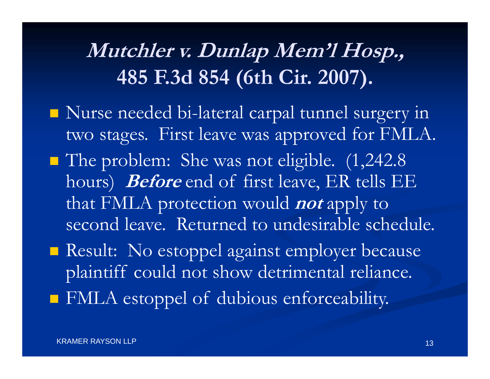# **Mutchler v. Dunlap Mem'l Hosp., 485 F.3d 854 (6th Cir. 2007).**

- Nurse needed bi-lateral carpal tunnel surgery in two stages. First leave was approved for FMLA.
- The problem: She was not eligible. (1,242.8) hours) **Before** end of first leave, ER tells EE that FMLA protection would **not** apply to second leave. Returned to undesirable schedule.
- Result: No estoppel against employer because plaintiff could not show detrimental reliance.
- FMLA estoppel of dubious enforceability.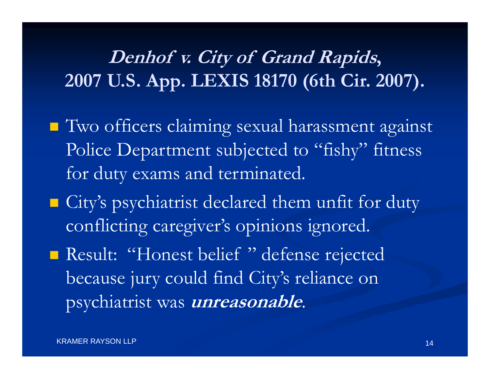#### **Denhof v. City of Grand Rapids, 2007 U.S. App. LEXIS 18170 (6th Cir. 2007).**

- **T** Two officers claiming sexual harassment against Police Department subjected to "fishy" fitness for duty exams and terminated.
- **Example 13 City's psychiatrist declared them unfit for duty** conflicting caregiver's opinions ignored.
- **Result: "Honest belief" defense rejected** because jury could find City's reliance on psychiatrist was **unreasonable**.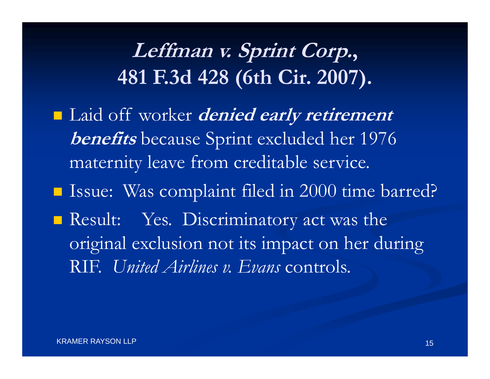# **Leffman v. Sprint Corp., 481 F.3d 428 (6th Cir. 2007).**

 Laid off worker **denied early retirement benefits** because Sprint excluded her 1976 maternity leave from creditable service. **ISSue: Was complaint filed in 2000 time barred?** Result: Yes. Discriminatory act was the original exclusion not its impact on her during RIF. *United Airlines v. Evans* controls.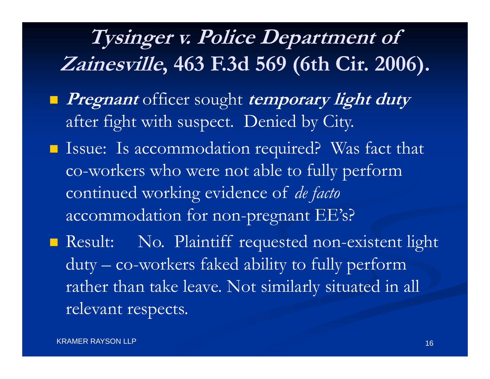# **Tysinger v. Police Department of Zainesville, 463 F.3d 569 (6th Cir. 2006).**

- **Pregnant** officer sought **temporary light duty**  after fight with suspect. Denied by City.
- Issue: Is accommodation required? Was fact that co-workers who were not able to fully perform continued working evidence of *de facto*  accommodation for non-pregnant EE's?
- Result: No. Plaintiff requested non-existent light duty – co-workers faked ability to fully perform rather than take leave. Not similarly situated in all relevant respects.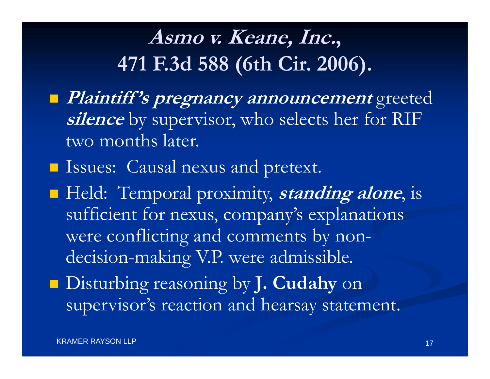## **Asmo v. Keane, Inc., 471 F.3d 588 (6th Cir. 2006).**

 **Plaintiff 's pregnancy announcement** greeted **silence** by supervisor, who selects her for RIF two months later.

**ISSUES:** Causal nexus and pretext.

 Held: Temporal proximity, **standing alone**, is sufficient for nexus, company's explanations were conflicting and comments by nondecision-making V.P. were admissible.

 Disturbing reasoning by **J. Cudahy** on supervisor's reaction and hearsay statement.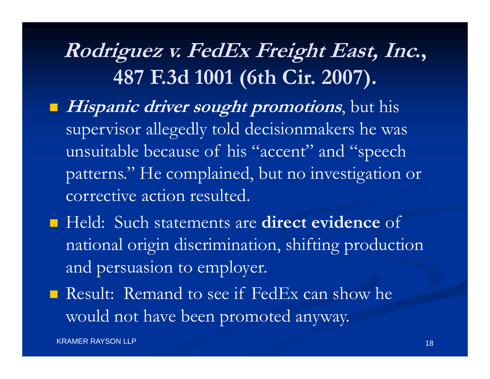**Rodriguez v. FedEx Freight East, Inc., 487 F.3d 1001 (6th Cir. 2007).**

- **Hispanic driver sought promotions**, but his supervisor allegedly told decisionmakers he was unsuitable because of his "accent" and "speech patterns." He complained, but no investigation or corrective action resulted.
- Held: Such statements are **direct evidence** of national origin discrimination, shifting production and persuasion to employer.
- **Result:** Remand to see if FedEx can show he would not have been promoted anyway.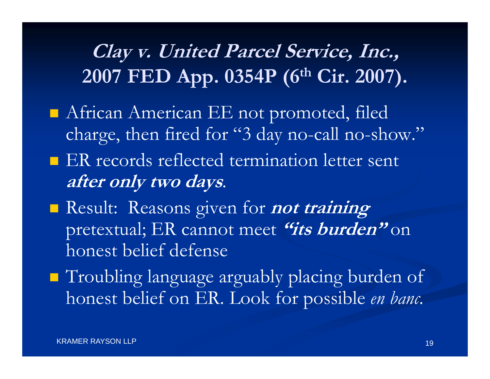#### **Clay v. United Parcel Service, Inc., 2007 FED App. 0354P (6th Cir. 2007).**

- African American EE not promoted, filed charge, then fired for "3 day no-call no-show."
- **ER** records reflected termination letter sent **after only two days**.
- Result: Reasons given for **not training**  pretextual; ER cannot meet **"its burden"** on honest belief defense
- **Troubling language arguably placing burden of** honest belief on ER. Look for possible *en banc.*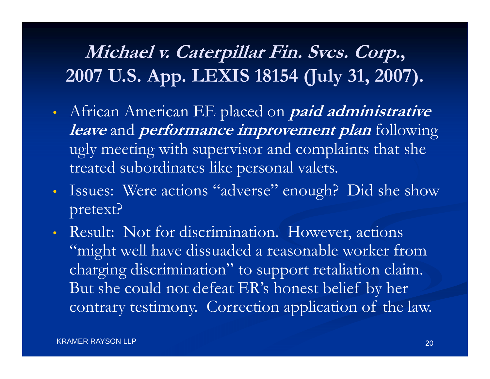#### **Michael v. Caterpillar Fin. Svcs. Corp., 2007 U.S. App. LEXIS 18154 (July 31, 2007).**

- $\bullet$  African American EE placed on **paid administrative leave** and **performance improvement plan** following ugly meeting with supervisor and complaints that she treated subordinates like personal valets.
- $\bullet$ • Issues: Were actions "adverse" enough? Did she show pretext?
- $\bullet$  Result: Not for discrimination. However, actions "might well have dissuaded a reasonable worker from charging discrimination" to support retaliation claim. But she could not defeat ER's honest belief by her contrary testimony. Correction application of the law.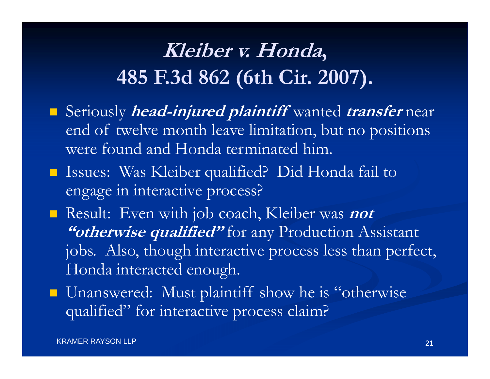# **Kleiber v. Honda, 485 F.3d 862 (6th Cir. 2007).**

- Seriously **head-injured plaintiff** wanted **transfer** near end of twelve month leave limitation, but no positions were found and Honda terminated him.
- Issues: Was Kleiber qualified? Did Honda fail to engage in interactive process?
- Result: Even with job coach, Kleiber was *not* "*"otherwise qualified"* for any Production Assistant jobs. Also, though interactive process less than perfect, Honda interacted enough.
- **Unanswered:** Must plaintiff show he is "otherwise qualified" for interactive process claim?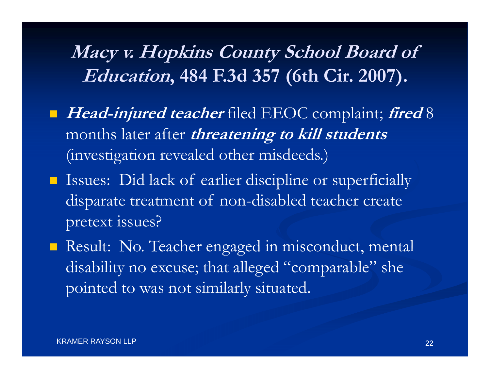#### **Macy v. Hopkins County School Board of Education, 484 F.3d 357 (6th Cir. 2007).**

- **Head-injured teacher** filed EEOC complaint; **fired** 8 months later after **threatening to kill students**  (investigation revealed other misdeeds.)
- **If** Issues: Did lack of earlier discipline or superficially disparate treatment of non-disabled teacher create pretext issues?
- Result: No. Teacher engaged in misconduct, mental disability no excuse; that alleged "comparable" she pointed to was not similarly situated.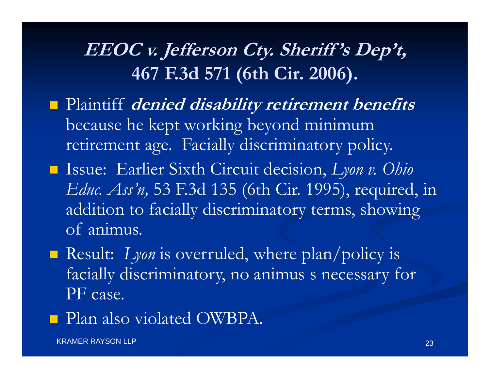#### **EEOC v. Jefferson Cty. Sheriff 's Dep't, 467 F.3d 571 (6th Cir. 2006).**

- Plaintiff *denied disability retirement benefits* because he kept working beyond minimum retirement age. Facially discriminatory policy.
- Issue: Earlier Sixth Circuit decision, *Lyon v. Ohio Educ. Ass'n,* 53 F.3d 135 (6th Cir. 1995), required, in addition to facially discriminatory terms, showing of animus.
- **Result:** Lyon is overruled, where plan/policy is facially discriminatory, no animus s necessary for PF case.
- **Plan also violated OWBPA.**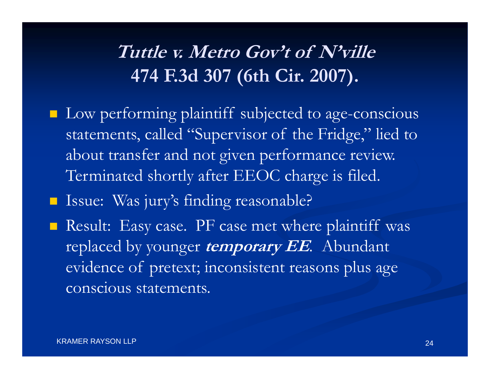#### **Tuttle v. Metro Gov't of N'ville 474 F.3d 307 (6th Cir. 2007).**

**Low performing plaintiff subjected to age-conscious** statements, called "Supervisor of the Fridge," lied to about transfer and not given performance review. Terminated shortly after EEOC charge is filed.

**In Issue: Was jury's finding reasonable?** 

**Result:** Easy case. PF case met where plaintiff was replaced by younger **temporary EE**. Abundant evidence of pretext; inconsistent reasons plus age conscious statements.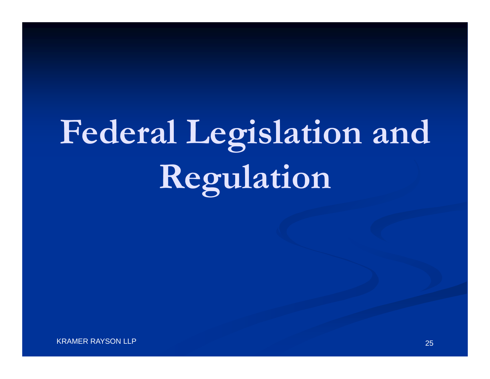# **Federal Legislation and Regulation**

KRAMER RAYSON LLP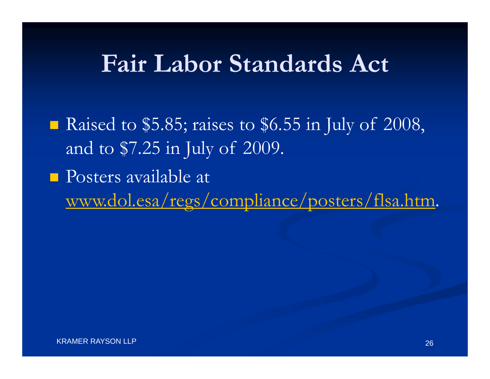## **Fair Labor Standards Act**

Raised to \$5.85; raises to \$6.55 in July of 2008, and to \$7.25 in July of 2009.

**Posters available at** www.dol.esa/regs/compliance/posters/flsa.htm.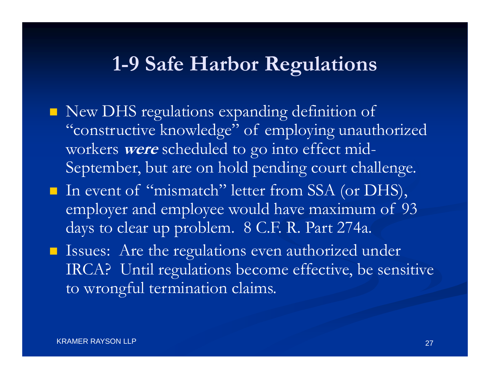#### **1-9 Safe Harbor Regulations**

- New DHS regulations expanding definition of "constructive knowledge" of employing unauthorized workers **were** scheduled to go into effect mid-September, but are on hold pending court challenge.
- In event of "mismatch" letter from SSA (or DHS), employer and employee would have maximum of 93 days to clear up problem. 8 C.F. R. Part 274a.
- **If** Issues: Are the regulations even authorized under IRCA? Until regulations become effective, be sensitive to wrongful termination claims.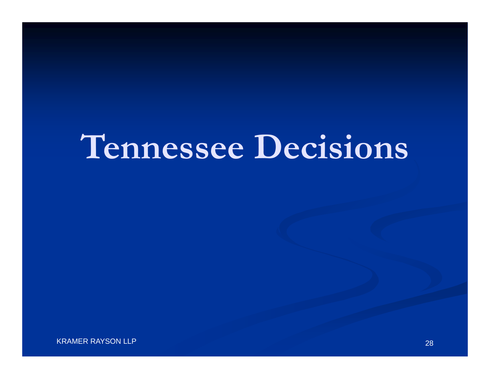# **Tennessee Decisions**

KRAMER RAYSON LLP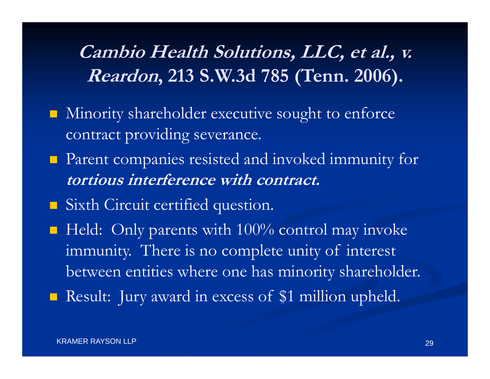#### **Cambio Health Solutions, LLC, et al., v. Reardon, 213 S.W.3d 785 (Tenn. 2006).**

- **Ninority shareholder executive sought to enforce** contract providing severance.
- **Parent companies resisted and invoked immunity for tortious interference with contract.**
- Sixth Circuit certified question.
- $\blacksquare$  Held: Only parents with 100% control may invoke immunity. There is no complete unity of interest between entities where one has minority shareholder.
- **Result:** Jury award in excess of \$1 million upheld.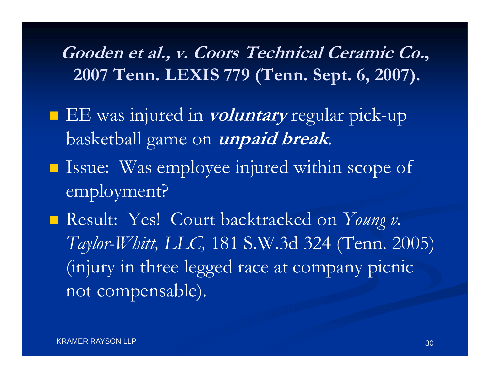**Gooden et al., v. Coors Technical Ceramic Co., 2007 Tenn. LEXIS 779 (Tenn. Sept. 6, 2007).**

- EE was injured in **voluntary** regular pick-up basketball game on **unpaid break**.
- **Issue:** Was employee injured within scope of employment?

 Result: Yes! Court backtracked on *Young v. Taylor-Whitt, LLC,* 181 S.W.3d 324 (Tenn. 2005) (injury in three legged race at company picnic not compensable).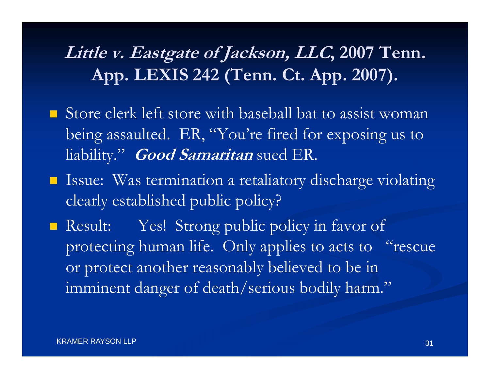#### **Little v. Eastgate of Jackson, LLC, 2007 Tenn. App. LEXIS 242 (Tenn. Ct. App. 2007).**

- **Store clerk left store with baseball bat to assist woman** being assaulted. ER, "You're fired for exposing us to liability." **Good Samaritan** sued ER.
- **ISSUE:** Was termination a retaliatory discharge violating clearly established public policy?

Result: Yes! Strong public policy in favor of protecting human life. Only applies to acts to "rescue or protect another reasonably believed to be in imminent danger of death/serious bodily harm."